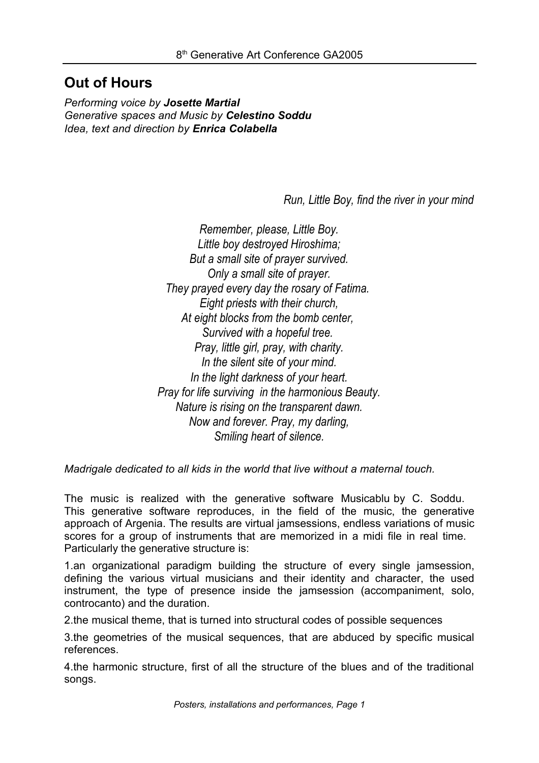## **Out of Hours**

*Performing voice by Josette Martial Generative spaces and Music by Celestino Soddu Idea, text and direction by Enrica Colabella*

*Run, Little Boy, find the river in your mind*

*Remember, please, Little Boy. Little boy destroyed Hiroshima; But a small site of prayer survived. Only a small site of prayer. They prayed every day the rosary of Fatima. Eight priests with their church, At eight blocks from the bomb center, Survived with a hopeful tree. Pray, little girl, pray, with charity. In the silent site of your mind. In the light darkness of your heart. Pray for life surviving in the harmonious Beauty. Nature is rising on the transparent dawn. Now and forever. Pray, my darling, Smiling heart of silence.*

*Madrigale dedicated to all kids in the world that live without a maternal touch.*

The music is realized with the generative software Musicablu by C. Soddu. This generative software reproduces, in the field of the music, the generative approach of Argenia. The results are virtual jamsessions, endless variations of music scores for a group of instruments that are memorized in a midi file in real time. Particularly the generative structure is:

1.an organizational paradigm building the structure of every single jamsession, defining the various virtual musicians and their identity and character, the used instrument, the type of presence inside the jamsession (accompaniment, solo, controcanto) and the duration.

2.the musical theme, that is turned into structural codes of possible sequences

3.the geometries of the musical sequences, that are abduced by specific musical references.

4.the harmonic structure, first of all the structure of the blues and of the traditional songs.

*Posters, installations and performances, Page 1*